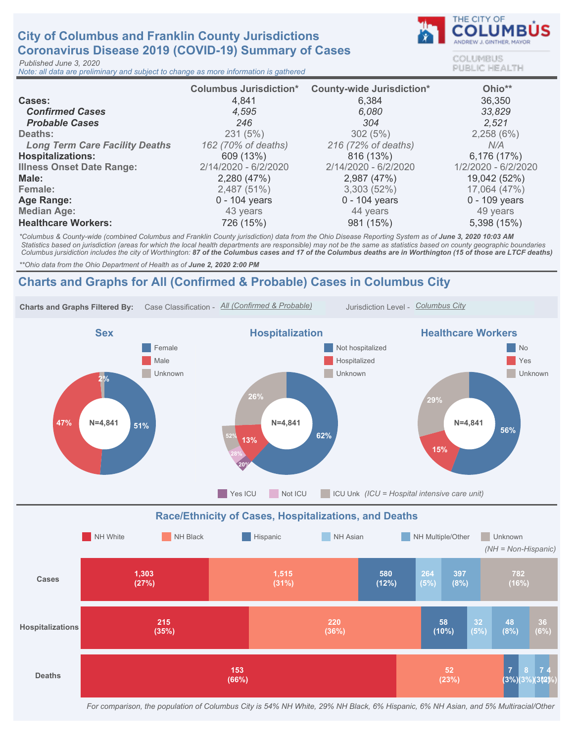# City of Columbus and Franklin County Jurisdictions Coronavirus Disease 2019 (COVID-19) Summary of Cases

Published June 3, 2020

Note: all data are preliminary and subject to change as more information is gathered



COLUMBUS **PUBLIC HEALTH** 

|                                       | <b>Columbus Jurisdiction*</b> | <b>County-wide Jurisdiction*</b> | Ohio**              |
|---------------------------------------|-------------------------------|----------------------------------|---------------------|
| <b>Cases:</b>                         | 4,841                         | 6,384                            | 36,350              |
| <b>Confirmed Cases</b>                | 4.595                         | 6.080                            | 33,829              |
| <b>Probable Cases</b>                 | 246                           | 304                              | 2,521               |
| Deaths:                               | 231(5%)                       | 302(5%)                          | 2,258(6%)           |
| <b>Long Term Care Facility Deaths</b> | 162 (70% of deaths)           | 216 (72% of deaths)              | N/A                 |
| <b>Hospitalizations:</b>              | 609 (13%)                     | 816 (13%)                        | 6,176 (17%)         |
| <b>Illness Onset Date Range:</b>      | 2/14/2020 - 6/2/2020          | 2/14/2020 - 6/2/2020             | 1/2/2020 - 6/2/2020 |
| Male:                                 | 2,280 (47%)                   | 2,987 (47%)                      | 19,042 (52%)        |
| Female:                               | 2,487 (51%)                   | 3,303(52%)                       | 17,064 (47%)        |
| Age Range:                            | $0 - 104$ years               | $0 - 104$ years                  | $0 - 109$ years     |
| <b>Median Age:</b>                    | 43 years                      | 44 years                         | 49 years            |
| <b>Healthcare Workers:</b>            | 726 (15%)                     | 981 (15%)                        | 5,398 (15%)         |

\*Columbus & County-wide (combined Columbus and Franklin County jurisdiction) data from the Ohio Disease Reporting System as of June 3, 2020 10:03 AM Statistics based on jurisdiction (areas for which the local health departments are responsible) may not be the same as statistics based on county geographic boundaries Columbus jursidiction includes the city of Worthington: 87 of the Columbus cases and 17 of the Columbus deaths are in Worthington (15 of those are LTCF deaths)

\*\* Ohio data from the Ohio Department of Health as of June 2, 2020 2:00 PM

## Charts and Graphs for All (Confirmed & Probable) Cases in Columbus City



For comparison, the population of Columbus City is 54% NH White, 29% NH Black, 6% Hispanic, 6% NH Asian, and 5% Multiracial/Other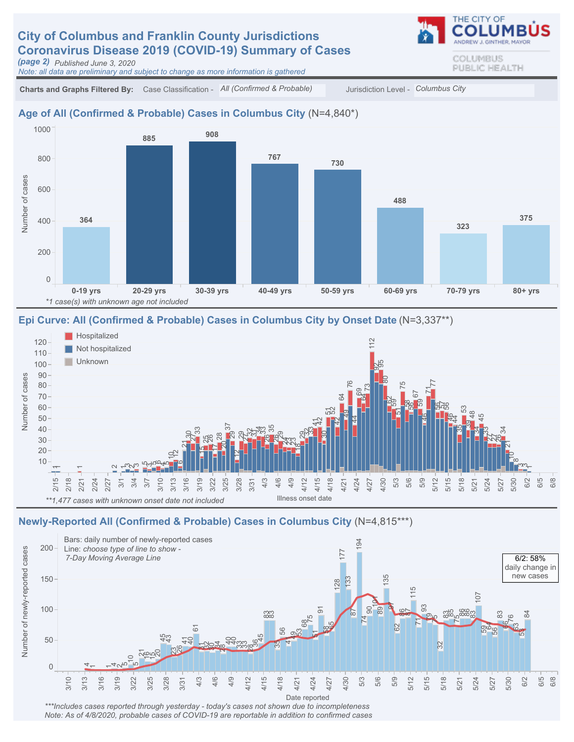# **City of Columbus and Franklin County Jurisdictions** Coronavirus Disease 2019 (COVID-19) Summary of Cases

(page 2) Published June 3, 2020

Note: all data are preliminary and subject to change as more information is gathered

COLUMBUS PUBLIC HEALTH

THE CITY OF

Charts and Graphs Filtered By: Case Classification - All (Confirmed & Probable) Jurisdiction Level - Columbus City

#### Age of All (Confirmed & Probable) Cases in Columbus City (N=4,840\*)



#### Epi Curve: All (Confirmed & Probable) Cases in Columbus City by Onset Date (N=3,337\*\*)



#### Newly-Reported All (Confirmed & Probable) Cases in Columbus City (N=4,815\*\*\*)



Note: As of 4/8/2020, probable cases of COVID-19 are reportable in addition to confirmed cases